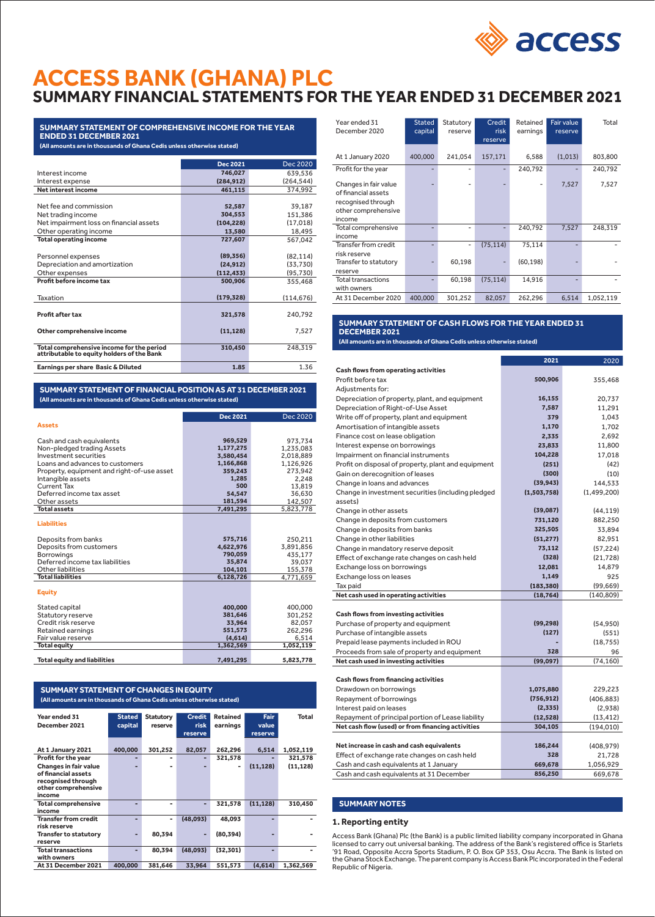

# **ACCESS BANK (GHANA) PLC SUMMARY FINANCIAL STATEMENTS FOR THE YEAR ENDED 31 DECEMBER 2021**

# **SUMMARY STATEMENT OF COMPREHENSIVE INCOME FOR THE YEAR ENDED 31 DECEMBER 2021 (All amounts are in thousands of Ghana Cedis unless otherwise stated)**

|                                                                                         | <b>Dec 2021</b> | Dec 2020   |
|-----------------------------------------------------------------------------------------|-----------------|------------|
| Interest income                                                                         | 746,027         | 639.536    |
| Interest expense                                                                        | (284, 912)      | (264, 544) |
| Net interest income                                                                     | 461.115         | 374,992    |
|                                                                                         |                 |            |
| Net fee and commission                                                                  | 52,587          | 39,187     |
| Net trading income                                                                      | 304,553         | 151.386    |
| Net impairment loss on financial assets                                                 | (104, 228)      | (17,018)   |
| Other operating income                                                                  | 13,580          | 18.495     |
| <b>Total operating income</b>                                                           | 727.607         | 567,042    |
|                                                                                         |                 |            |
| Personnel expenses                                                                      | (89, 356)       | (82, 114)  |
| Depreciation and amortization                                                           | (24, 912)       | (33, 730)  |
| Other expenses                                                                          | (112, 433)      | (95, 730)  |
| Profit before income tax                                                                | 500.906         | 355,468    |
|                                                                                         |                 |            |
| Taxation                                                                                | (179, 328)      | (114, 676) |
|                                                                                         |                 |            |
| <b>Profit after tax</b>                                                                 | 321,578         | 240,792    |
|                                                                                         |                 |            |
| Other comprehensive income                                                              | (11, 128)       | 7.527      |
|                                                                                         |                 |            |
| Total comprehensive income for the period<br>attributable to equity holders of the Bank | 310,450         | 248,319    |
|                                                                                         |                 |            |
| Earnings per share Basic & Diluted                                                      | 1.85            | 1.36       |

**SUMMARY STATEMENT OF FINANCIAL POSITION AS AT 31 DECEMBER 2021 (All amounts are in thousands of Ghana Cedis unless otherwise stated)**

|                                            | <b>Dec 2021</b> | Dec 2020  |
|--------------------------------------------|-----------------|-----------|
| <b>Assets</b>                              |                 |           |
| Cash and cash equivalents                  | 969,529         | 973,734   |
| Non-pledged trading Assets                 | 1,177,275       | 1,235,083 |
| Investment securities                      | 3,580,454       | 2.018.889 |
| Loans and advances to customers            | 1,166,868       | 1,126,926 |
| Property, equipment and right-of-use asset | 359,243         | 273,942   |
| Intangible assets                          | 1,285           | 2,248     |
| Current Tax                                | 500             | 13.819    |
| Deferred income tax asset                  | 54.547          | 36,630    |
| Other assets                               | 181,594         | 142.507   |
| <b>Total assets</b>                        | 7,491,295       | 5,823,778 |
| <b>Liabilities</b>                         |                 |           |
| Deposits from banks                        | 575,716         | 250.211   |
| Deposits from customers                    | 4,622,976       | 3,891,856 |
| <b>Borrowings</b>                          | 790,059         | 435.177   |
| Deferred income tax liabilities            | 35,874          | 39.037    |
| Other liabilities                          | 104,101         | 155,378   |
| <b>Total liabilities</b>                   | 6,128,726       | 4,771,659 |
| <b>Equity</b>                              |                 |           |
| Stated capital                             | 400,000         | 400,000   |
| Statutory reserve                          | 381,646         | 301.252   |
| Credit risk reserve                        | 33.964          | 82,057    |
| <b>Retained earnings</b>                   | 551,573         | 262.296   |
| Fair value reserve                         | (4,614)         | 6,514     |
| <b>Total equity</b>                        | 1,362,569       | 1,052,119 |
| <b>Total equity and liabilities</b>        | 7,491,295       | 5,823,778 |

# **SUMMARY STATEMENT OF CHANGES IN EQUITY (All amounts are in thousands of Ghana Cedis unless otherwise stated)**

| Year ended 31                | <b>Stated</b> | <b>Statutory</b> | <b>Credit</b> | Retained  | Fair      | <b>Total</b> |
|------------------------------|---------------|------------------|---------------|-----------|-----------|--------------|
|                              |               |                  |               |           |           |              |
| December 2021                | capital       | reserve          | <b>risk</b>   | earnings  | value     |              |
|                              |               |                  | reserve       |           | reserve   |              |
|                              |               |                  |               |           |           |              |
| At 1 January 2021            | 400,000       | 301,252          | 82,057        | 262,296   | 6,514     | 1,052,119    |
| Profit for the year          |               |                  |               | 321,578   |           | 321,578      |
| <b>Changes in fair value</b> |               |                  |               |           | (11, 128) | (11, 128)    |
| of financial assets          |               |                  |               |           |           |              |
| recognised through           |               |                  |               |           |           |              |
| other comprehensive          |               |                  |               |           |           |              |
| income                       |               |                  |               |           |           |              |
| <b>Total comprehensive</b>   |               |                  |               | 321,578   | (11, 128) | 310,450      |
| income                       |               |                  |               |           |           |              |
| <b>Transfer from credit</b>  |               | ۰                | (48.093)      | 48.093    |           |              |
| risk reserve                 |               |                  |               |           |           |              |
| <b>Transfer to statutory</b> |               | 80,394           |               | (80, 394) |           |              |
| reserve                      |               |                  |               |           |           |              |
| <b>Total transactions</b>    |               | 80.394           | (48,093)      | (32, 301) |           |              |
| with owners                  |               |                  |               |           |           |              |
| At 31 December 2021          | 400.000       | 381.646          | 33.964        | 551.573   | (4.614)   | 1,362,569    |

| Year ended 31<br>December 2020                                                                      | <b>Stated</b><br>capital | Statutory<br>reserve | Credit<br>risk<br>reserve | Retained<br>earnings | Fair value<br>reserve | Total     |
|-----------------------------------------------------------------------------------------------------|--------------------------|----------------------|---------------------------|----------------------|-----------------------|-----------|
| At 1 January 2020                                                                                   | 400,000                  | 241,054              | 157,171                   | 6,588                | (1,013)               | 803,800   |
| Profit for the year                                                                                 |                          |                      |                           | 240,792              |                       | 240,792   |
| Changes in fair value<br>of financial assets<br>recognised through<br>other comprehensive<br>income |                          |                      |                           |                      | 7,527                 | 7,527     |
| Total comprehensive<br>income                                                                       |                          |                      | ۰                         | 240,792              | 7,527                 | 248,319   |
| <b>Transfer from credit</b><br>risk reserve<br>Transfer to statutory<br>reserve                     |                          | 60,198               | (75, 114)                 | 75,114<br>(60, 198)  |                       |           |
| <b>Total transactions</b><br>with owners                                                            |                          | 60,198               | (75, 114)                 | 14,916               |                       |           |
| At 31 December 2020                                                                                 | 400,000                  | 301.252              | 82.057                    | 262,296              | 6.514                 | 1,052,119 |

### **SUMMARY STATEMENT OF CASH FLOWS FOR THE YEAR ENDED 31 DECEMBER 2021 (All amounts are in thousands of Ghana Cedis unless otherwise stated)**

 $\overline{\phantom{a}}$ 

|                                                     | 2021        | 2020        |
|-----------------------------------------------------|-------------|-------------|
| <b>Cash flows from operating activities</b>         |             |             |
| Profit before tax                                   | 500,906     | 355,468     |
| Adjustments for:                                    |             |             |
| Depreciation of property, plant, and equipment      | 16,155      | 20,737      |
| Depreciation of Right-of-Use Asset                  | 7,587       | 11,291      |
| Write off of property, plant and equipment          | 379         | 1,043       |
| Amortisation of intangible assets                   | 1,170       | 1,702       |
| Finance cost on lease obligation                    | 2,335       | 2,692       |
| Interest expense on borrowings                      | 23,833      | 11,800      |
| Impairment on financial instruments                 | 104,228     | 17,018      |
| Profit on disposal of property, plant and equipment | (251)       | (42)        |
| Gain on derecognition of leases                     | (300)       | (10)        |
| Change in loans and advances                        | (39, 943)   | 144,533     |
| Change in investment securities (including pledged  | (1,503,758) | (1,499,200) |
| assets)                                             |             |             |
| Change in other assets                              | (39,087)    | (44, 119)   |
| Change in deposits from customers                   | 731,120     | 882,250     |
| Change in deposits from banks                       | 325,505     | 33,894      |
| Change in other liabilities                         | (51, 277)   | 82,951      |
| Change in mandatory reserve deposit                 | 73,112      | (57, 224)   |
| Effect of exchange rate changes on cash held        | (328)       | (21, 728)   |
| Exchange loss on borrowings                         | 12,081      | 14,879      |
| Exchange loss on leases                             | 1,149       | 925         |
| Tax paid                                            | (183, 380)  | (99, 669)   |
| Net cash used in operating activities               | (18, 764)   | (140, 809)  |
|                                                     |             |             |
| <b>Cash flows from investing activities</b>         |             |             |
| Purchase of property and equipment                  | (99, 298)   | (54,950)    |
| Purchase of intangible assets                       | (127)       | (551)       |
| Prepaid lease payments included in ROU              |             | (18, 755)   |
| Proceeds from sale of property and equipment        | 328         | 96          |
| Net cash used in investing activities               | (99,097)    | (74, 160)   |
|                                                     |             |             |
| <b>Cash flows from financing activities</b>         |             |             |
| Drawdown on borrowings                              | 1,075,880   | 229,223     |
| Repayment of borrowings                             | (756, 912)  | (406, 883)  |
| Interest paid on leases                             | (2,335)     | (2,938)     |
| Repayment of principal portion of Lease liability   | (12, 528)   | (13, 412)   |
| Net cash flow (used) or from financing activities   | 304,105     | (194, 010)  |
| Net increase in cash and cash equivalents           | 186,244     | (408, 979)  |
| Effect of exchange rate changes on cash held        | 328         | 21,728      |
| Cash and cash equivalents at 1 January              | 669,678     | 1,056,929   |
| Cash and cash equivalents at 31 December            | 856,250     | 669,678     |
|                                                     |             |             |

# **SUMMARY NOTES**

# **1. Reporting entity**

Access Bank (Ghana) Plc (the Bank) is a public limited liability company incorporated in Ghana licensed to carry out universal banking. The address of the Bank's registered office is Starlets '91 Road, Opposite Accra Sports Stadium, P. O. Box GP 353, Osu Accra. The Bank is listed on the Ghana Stock Exchange. The parent company is Access Bank Plc incorporated in the Federal Republic of Nigeria.